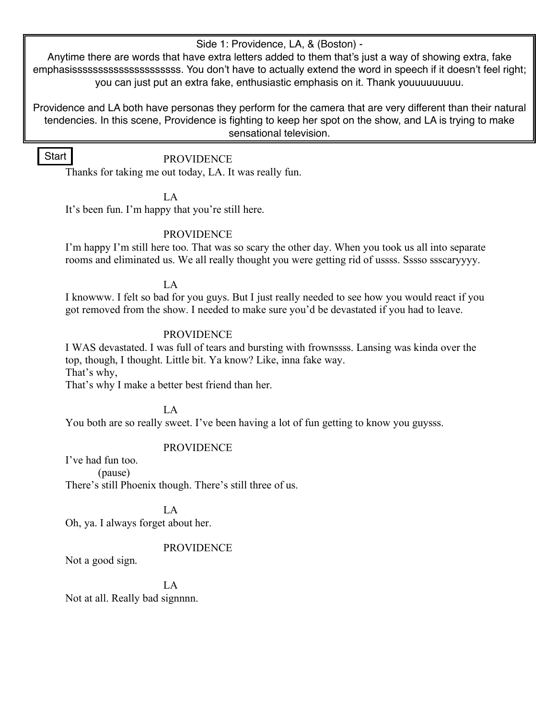## Side 1: Providence, LA, & (Boston) -

6

emphasissssssssssssssssssssss. You don't have to actually extend the word in speech if it doesn't feel right; you can just put an extra fake, enthusiastic emphasis on it. Thank youuuuuuuuu. Anytime there are words that have extra letters added to them that's just a way of showing extra, fake

Providence and LA both have personas they perform for the camera that are very different than their natural tendencies. In this scene, Providence is fighting to keep her spot on the show, and LA is trying to make sensational television.

**Start** 

## PROVIDENCE

Thanks for taking me out today, LA. It was really fun.

LA

It's been fun. I'm happy that you're still here.

# **PROVIDENCE**

I'm happy I'm still here too. That was so scary the other day. When you took us all into separate rooms and eliminated us. We all really thought you were getting rid of ussss. Sssso ssscaryyyy.

# $L_A$

I knowww. I felt so bad for you guys. But I just really needed to see how you would react if you got removed from the show. I needed to make sure you'd be devastated if you had to leave.

## PROVIDENCE

I WAS devastated. I was full of tears and bursting with frownssss. Lansing was kinda over the top, though, I thought. Little bit. Ya know? Like, inna fake way. That's why,

That's why I make a better best friend than her.

LA

You both are so really sweet. I've been having a lot of fun getting to know you guysss.

# PROVIDENCE

I've had fun too. (pause) There's still Phoenix though. There's still three of us.

LA

Oh, ya. I always forget about her.

## PROVIDENCE

Not a good sign.

LA Not at all. Really bad signnnn.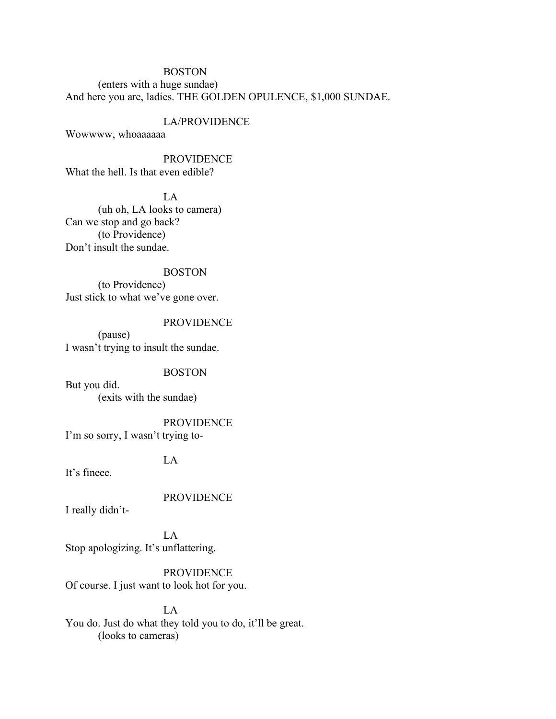### BOSTON

(enters with a huge sundae) And here you are, ladies. THE GOLDEN OPULENCE, \$1,000 SUNDAE.

### LA/PROVIDENCE

Wowwww, whoaaaaaa

### PROVIDENCE

What the hell. Is that even edible?

## LA

(uh oh, LA looks to camera) Can we stop and go back? (to Providence) Don't insult the sundae.

## BOSTON

(to Providence) Just stick to what we've gone over.

### PROVIDENCE

(pause) I wasn't trying to insult the sundae.

#### BOSTON

But you did. (exits with the sundae)

### PROVIDENCE I'm so sorry, I wasn't trying to-

### LA

It's fineee.

#### PROVIDENCE

I really didn't-

LA Stop apologizing. It's unflattering.

PROVIDENCE Of course. I just want to look hot for you.

## LA You do. Just do what they told you to do, it'll be great. (looks to cameras)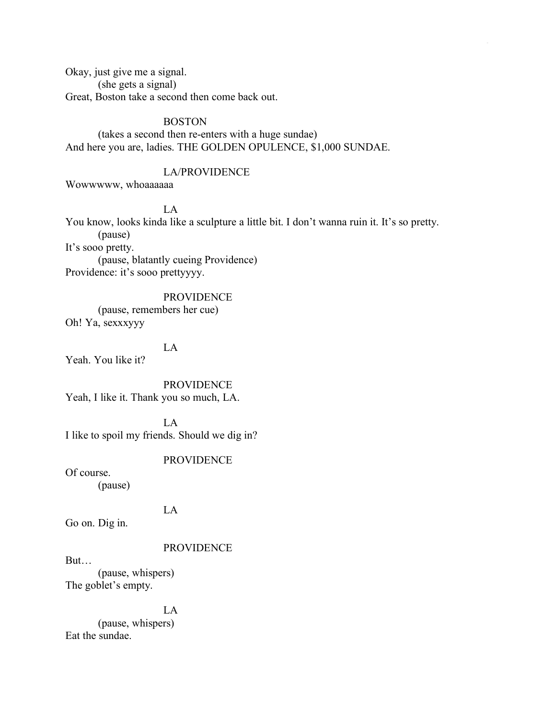Okay, just give me a signal. (she gets a signal) Great, Boston take a second then come back out.

## **BOSTON**

(takes a second then re-enters with a huge sundae) And here you are, ladies. THE GOLDEN OPULENCE, \$1,000 SUNDAE.

# LA/PROVIDENCE

Wowwwww, whoaaaaaa

# LA

You know, looks kinda like a sculpture a little bit. I don't wanna ruin it. It's so pretty. (pause) It's sooo pretty. (pause, blatantly cueing Providence)

 $\overline{a}$ 

Providence: it's sooo prettyyyy.

#### PROVIDENCE

(pause, remembers her cue) Oh! Ya, sexxxyyy

## LA

Yeah. You like it?

PROVIDENCE Yeah, I like it. Thank you so much, LA.

 $L_A$ I like to spoil my friends. Should we dig in?

### PROVIDENCE

Of course.

(pause)

# LA

Go on. Dig in.

#### PROVIDENCE

But… (pause, whispers) The goblet's empty.

LA (pause, whispers) Eat the sundae.